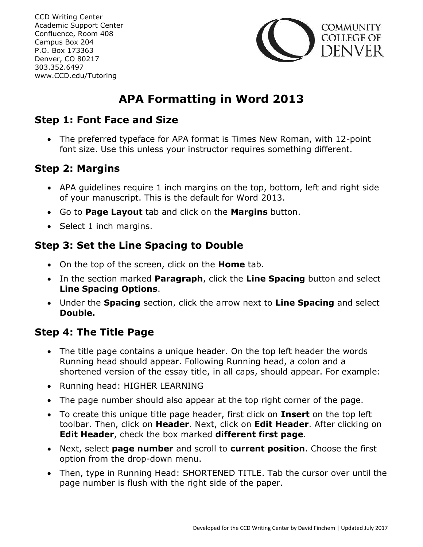CCD Writing Center Academic Support Center Confluence, Room 408 Campus Box 204 P.O. Box 173363 Denver, CO 80217 303.352.6497 www.CCD.edu/Tutoring



# **APA Formatting in Word 2013**

### **Step 1: Font Face and Size**

 The preferred typeface for APA format is Times New Roman, with 12-point font size. Use this unless your instructor requires something different.

# **Step 2: Margins**

- APA guidelines require 1 inch margins on the top, bottom, left and right side of your manuscript. This is the default for Word 2013.
- Go to **Page Layout** tab and click on the **Margins** button.
- Select 1 inch margins.

## **Step 3: Set the Line Spacing to Double**

- On the top of the screen, click on the **Home** tab.
- In the section marked **Paragraph**, click the **Line Spacing** button and select **Line Spacing Options**.
- Under the **Spacing** section, click the arrow next to **Line Spacing** and select **Double.**

## **Step 4: The Title Page**

- The title page contains a unique header. On the top left header the words Running head should appear. Following Running head, a colon and a shortened version of the essay title, in all caps, should appear. For example:
- Running head: HIGHER LEARNING
- The page number should also appear at the top right corner of the page.
- To create this unique title page header, first click on **Insert** on the top left toolbar. Then, click on **Header**. Next, click on **Edit Header**. After clicking on **Edit Header**, check the box marked **different first page**.
- Next, select **page number** and scroll to **current position**. Choose the first option from the drop-down menu.
- Then, type in Running Head: SHORTENED TITLE. Tab the cursor over until the page number is flush with the right side of the paper.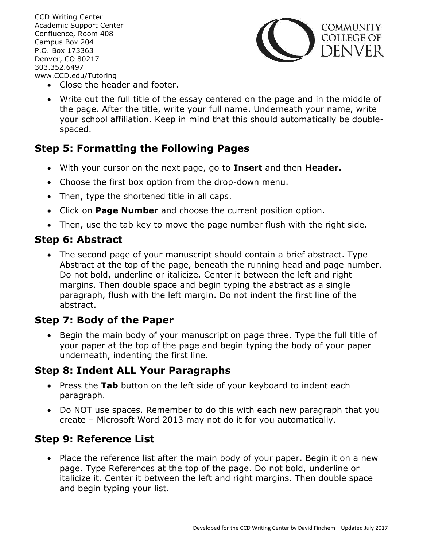CCD Writing Center Academic Support Center Confluence, Room 408 Campus Box 204 P.O. Box 173363 Denver, CO 80217 303.352.6497 www.CCD.edu/Tutoring



- Close the header and footer.
- Write out the full title of the essay centered on the page and in the middle of the page. After the title, write your full name. Underneath your name, write your school affiliation. Keep in mind that this should automatically be doublespaced.

# **Step 5: Formatting the Following Pages**

- With your cursor on the next page, go to **Insert** and then **Header.**
- Choose the first box option from the drop-down menu.
- Then, type the shortened title in all caps.
- Click on **Page Number** and choose the current position option.
- Then, use the tab key to move the page number flush with the right side.

#### **Step 6: Abstract**

 The second page of your manuscript should contain a brief abstract. Type Abstract at the top of the page, beneath the running head and page number. Do not bold, underline or italicize. Center it between the left and right margins. Then double space and begin typing the abstract as a single paragraph, flush with the left margin. Do not indent the first line of the abstract.

## **Step 7: Body of the Paper**

• Begin the main body of your manuscript on page three. Type the full title of your paper at the top of the page and begin typing the body of your paper underneath, indenting the first line.

### **Step 8: Indent ALL Your Paragraphs**

- Press the Tab button on the left side of your keyboard to indent each paragraph.
- Do NOT use spaces. Remember to do this with each new paragraph that you create – Microsoft Word 2013 may not do it for you automatically.

## **Step 9: Reference List**

• Place the reference list after the main body of your paper. Begin it on a new page. Type References at the top of the page. Do not bold, underline or italicize it. Center it between the left and right margins. Then double space and begin typing your list.